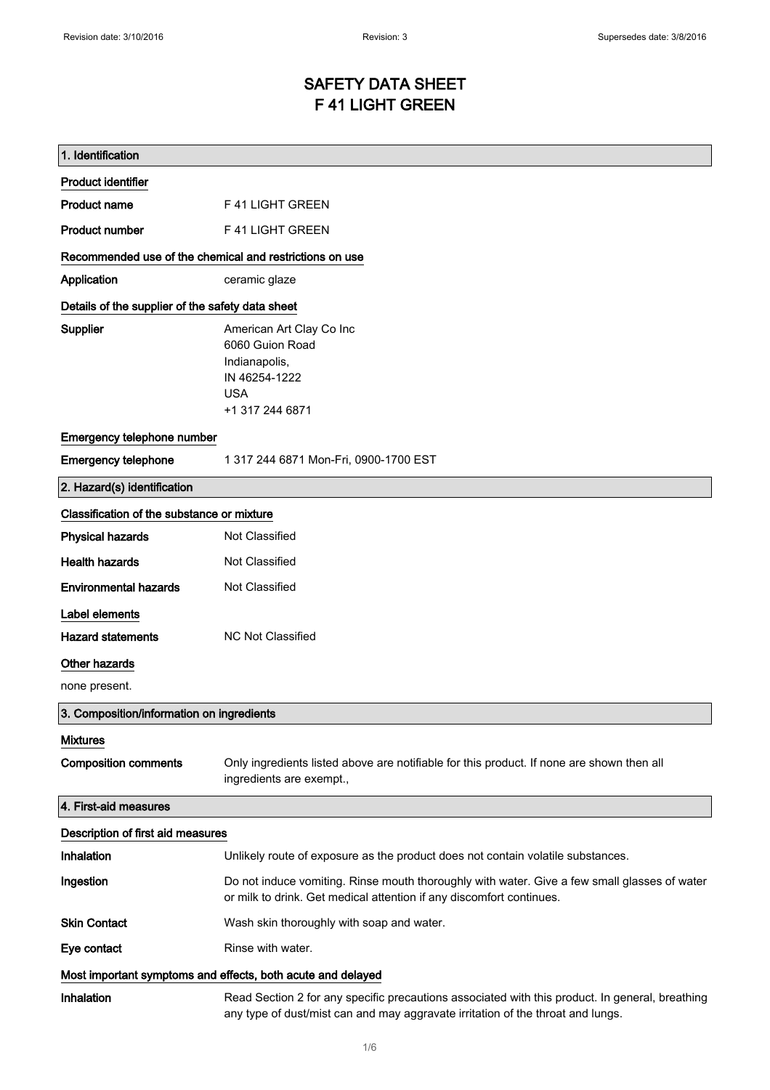# SAFETY DATA SHEET F 41 LIGHT GREEN

| 1. Identification                                           |                                                                                                                                                                                    |
|-------------------------------------------------------------|------------------------------------------------------------------------------------------------------------------------------------------------------------------------------------|
| <b>Product identifier</b>                                   |                                                                                                                                                                                    |
| <b>Product name</b>                                         | F 41 LIGHT GREEN                                                                                                                                                                   |
| <b>Product number</b>                                       | F 41 LIGHT GREEN                                                                                                                                                                   |
| Recommended use of the chemical and restrictions on use     |                                                                                                                                                                                    |
| Application                                                 | ceramic glaze                                                                                                                                                                      |
| Details of the supplier of the safety data sheet            |                                                                                                                                                                                    |
| Supplier                                                    | American Art Clay Co Inc<br>6060 Guion Road<br>Indianapolis,<br>IN 46254-1222<br><b>USA</b><br>+1 317 244 6871                                                                     |
| Emergency telephone number                                  |                                                                                                                                                                                    |
| <b>Emergency telephone</b>                                  | 1 317 244 6871 Mon-Fri, 0900-1700 EST                                                                                                                                              |
| 2. Hazard(s) identification                                 |                                                                                                                                                                                    |
| Classification of the substance or mixture                  |                                                                                                                                                                                    |
| <b>Physical hazards</b>                                     | Not Classified                                                                                                                                                                     |
| <b>Health hazards</b>                                       | Not Classified                                                                                                                                                                     |
| <b>Environmental hazards</b>                                | Not Classified                                                                                                                                                                     |
| Label elements                                              |                                                                                                                                                                                    |
| <b>Hazard statements</b>                                    | <b>NC Not Classified</b>                                                                                                                                                           |
| Other hazards                                               |                                                                                                                                                                                    |
| none present.                                               |                                                                                                                                                                                    |
| 3. Composition/information on ingredients                   |                                                                                                                                                                                    |
| <b>Mixtures</b>                                             |                                                                                                                                                                                    |
| <b>Composition comments</b>                                 | Only ingredients listed above are notifiable for this product. If none are shown then all<br>ingredients are exempt.,                                                              |
| 4. First-aid measures                                       |                                                                                                                                                                                    |
| Description of first aid measures                           |                                                                                                                                                                                    |
| Inhalation                                                  | Unlikely route of exposure as the product does not contain volatile substances.                                                                                                    |
| Ingestion                                                   | Do not induce vomiting. Rinse mouth thoroughly with water. Give a few small glasses of water<br>or milk to drink. Get medical attention if any discomfort continues.               |
| <b>Skin Contact</b>                                         | Wash skin thoroughly with soap and water.                                                                                                                                          |
| Eye contact                                                 | Rinse with water.                                                                                                                                                                  |
| Most important symptoms and effects, both acute and delayed |                                                                                                                                                                                    |
| Inhalation                                                  | Read Section 2 for any specific precautions associated with this product. In general, breathing<br>any type of dust/mist can and may aggravate irritation of the throat and lungs. |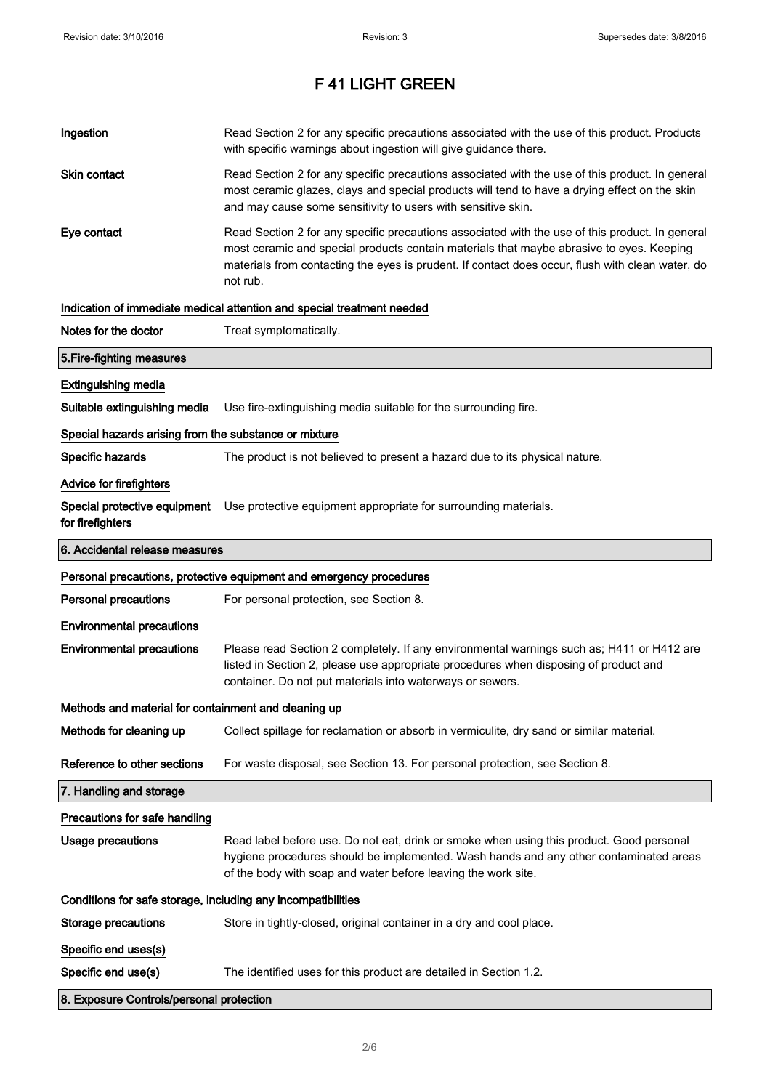| Ingestion                                                    | Read Section 2 for any specific precautions associated with the use of this product. Products<br>with specific warnings about ingestion will give guidance there.                                                                                                                                           |  |
|--------------------------------------------------------------|-------------------------------------------------------------------------------------------------------------------------------------------------------------------------------------------------------------------------------------------------------------------------------------------------------------|--|
| Skin contact                                                 | Read Section 2 for any specific precautions associated with the use of this product. In general<br>most ceramic glazes, clays and special products will tend to have a drying effect on the skin<br>and may cause some sensitivity to users with sensitive skin.                                            |  |
| Eye contact                                                  | Read Section 2 for any specific precautions associated with the use of this product. In general<br>most ceramic and special products contain materials that maybe abrasive to eyes. Keeping<br>materials from contacting the eyes is prudent. If contact does occur, flush with clean water, do<br>not rub. |  |
|                                                              | Indication of immediate medical attention and special treatment needed                                                                                                                                                                                                                                      |  |
| Notes for the doctor                                         | Treat symptomatically.                                                                                                                                                                                                                                                                                      |  |
| 5. Fire-fighting measures                                    |                                                                                                                                                                                                                                                                                                             |  |
| <b>Extinguishing media</b>                                   |                                                                                                                                                                                                                                                                                                             |  |
| Suitable extinguishing media                                 | Use fire-extinguishing media suitable for the surrounding fire.                                                                                                                                                                                                                                             |  |
| Special hazards arising from the substance or mixture        |                                                                                                                                                                                                                                                                                                             |  |
| Specific hazards                                             | The product is not believed to present a hazard due to its physical nature.                                                                                                                                                                                                                                 |  |
| Advice for firefighters                                      |                                                                                                                                                                                                                                                                                                             |  |
| for firefighters                                             | Special protective equipment Use protective equipment appropriate for surrounding materials.                                                                                                                                                                                                                |  |
| 6. Accidental release measures                               |                                                                                                                                                                                                                                                                                                             |  |
|                                                              | Personal precautions, protective equipment and emergency procedures                                                                                                                                                                                                                                         |  |
| <b>Personal precautions</b>                                  | For personal protection, see Section 8.                                                                                                                                                                                                                                                                     |  |
| <b>Environmental precautions</b>                             |                                                                                                                                                                                                                                                                                                             |  |
| <b>Environmental precautions</b>                             | Please read Section 2 completely. If any environmental warnings such as; H411 or H412 are<br>listed in Section 2, please use appropriate procedures when disposing of product and<br>container. Do not put materials into waterways or sewers.                                                              |  |
| Methods and material for containment and cleaning up         |                                                                                                                                                                                                                                                                                                             |  |
| Methods for cleaning up                                      | Collect spillage for reclamation or absorb in vermiculite, dry sand or similar material.                                                                                                                                                                                                                    |  |
| Reference to other sections                                  | For waste disposal, see Section 13. For personal protection, see Section 8.                                                                                                                                                                                                                                 |  |
| 7. Handling and storage                                      |                                                                                                                                                                                                                                                                                                             |  |
| Precautions for safe handling                                |                                                                                                                                                                                                                                                                                                             |  |
| <b>Usage precautions</b>                                     | Read label before use. Do not eat, drink or smoke when using this product. Good personal<br>hygiene procedures should be implemented. Wash hands and any other contaminated areas<br>of the body with soap and water before leaving the work site.                                                          |  |
| Conditions for safe storage, including any incompatibilities |                                                                                                                                                                                                                                                                                                             |  |
| <b>Storage precautions</b>                                   | Store in tightly-closed, original container in a dry and cool place.                                                                                                                                                                                                                                        |  |
| Specific end uses(s)                                         |                                                                                                                                                                                                                                                                                                             |  |
| Specific end use(s)                                          | The identified uses for this product are detailed in Section 1.2.                                                                                                                                                                                                                                           |  |
|                                                              |                                                                                                                                                                                                                                                                                                             |  |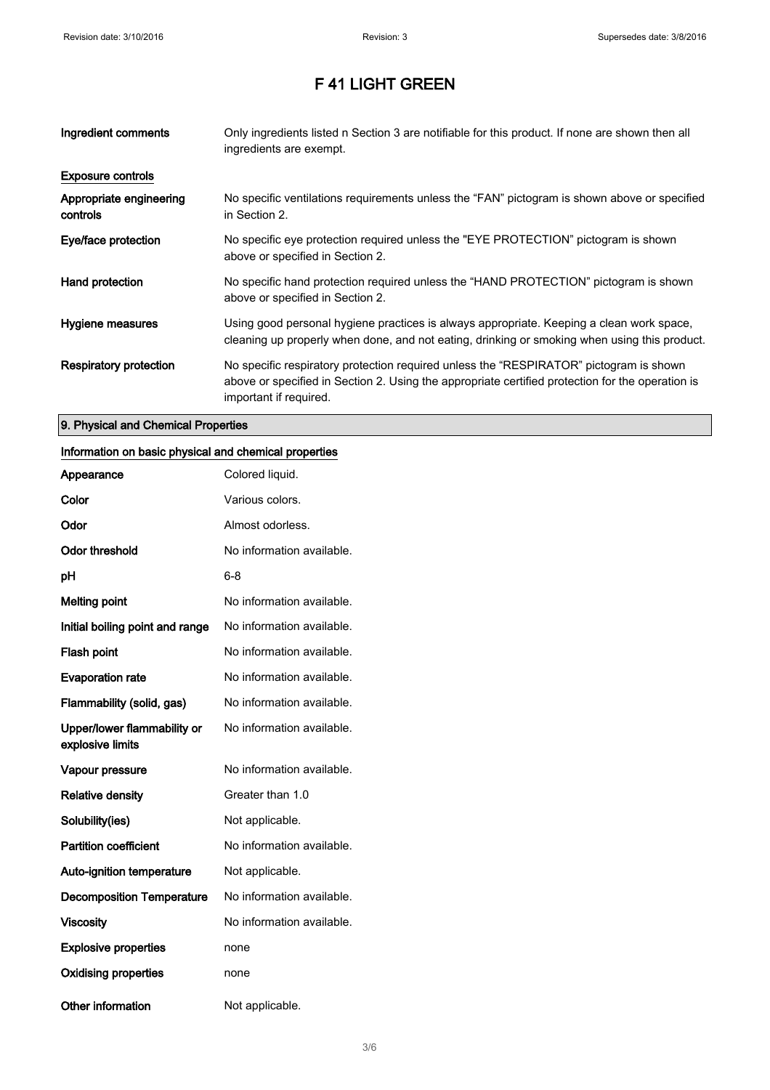| Ingredient comments                 | Only ingredients listed n Section 3 are notifiable for this product. If none are shown then all<br>ingredients are exempt.                                                                                           |
|-------------------------------------|----------------------------------------------------------------------------------------------------------------------------------------------------------------------------------------------------------------------|
| <b>Exposure controls</b>            |                                                                                                                                                                                                                      |
| Appropriate engineering<br>controls | No specific ventilations requirements unless the "FAN" pictogram is shown above or specified<br>in Section 2.                                                                                                        |
| Eye/face protection                 | No specific eye protection required unless the "EYE PROTECTION" pictogram is shown<br>above or specified in Section 2.                                                                                               |
| Hand protection                     | No specific hand protection required unless the "HAND PROTECTION" pictogram is shown<br>above or specified in Section 2.                                                                                             |
| Hygiene measures                    | Using good personal hygiene practices is always appropriate. Keeping a clean work space,<br>cleaning up properly when done, and not eating, drinking or smoking when using this product.                             |
| Respiratory protection              | No specific respiratory protection required unless the "RESPIRATOR" pictogram is shown<br>above or specified in Section 2. Using the appropriate certified protection for the operation is<br>important if required. |

#### 9. Physical and Chemical Properties

### Information on basic physical and chemical properties

| Appearance                                      | Colored liquid.           |
|-------------------------------------------------|---------------------------|
| Color                                           | Various colors.           |
| Odor                                            | Almost odorless.          |
| <b>Odor threshold</b>                           | No information available. |
| рH                                              | 6-8                       |
| <b>Melting point</b>                            | No information available. |
| Initial boiling point and range                 | No information available. |
| Flash point                                     | No information available. |
| <b>Evaporation rate</b>                         | No information available. |
| Flammability (solid, gas)                       | No information available. |
| Upper/lower flammability or<br>explosive limits | No information available. |
| Vapour pressure                                 | No information available. |
| <b>Relative density</b>                         | Greater than 1.0          |
| Solubility(ies)                                 | Not applicable.           |
| <b>Partition coefficient</b>                    | No information available. |
| <b>Auto-ignition temperature</b>                | Not applicable.           |
| <b>Decomposition Temperature</b>                | No information available. |
| <b>Viscosity</b>                                | No information available. |
| <b>Explosive properties</b>                     | none                      |
| <b>Oxidising properties</b>                     | none                      |
| <b>Other information</b>                        | Not applicable.           |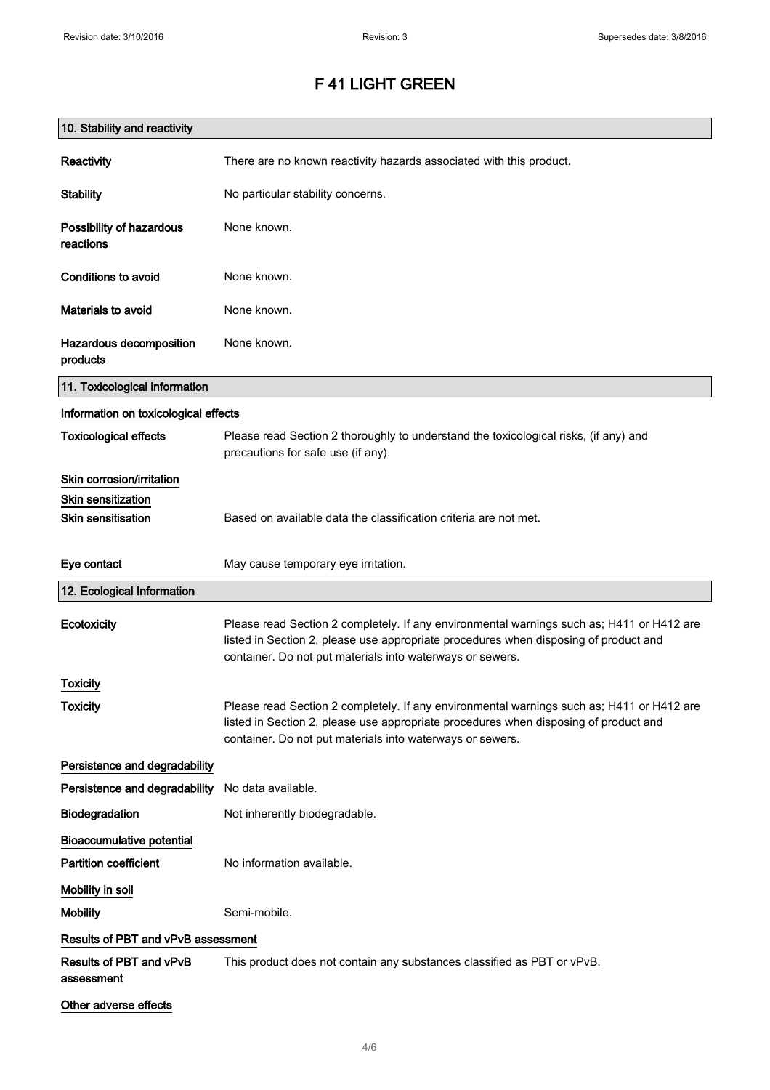| 10. Stability and reactivity          |                                                                                                                                                                                                                                                |
|---------------------------------------|------------------------------------------------------------------------------------------------------------------------------------------------------------------------------------------------------------------------------------------------|
| Reactivity                            | There are no known reactivity hazards associated with this product.                                                                                                                                                                            |
| <b>Stability</b>                      | No particular stability concerns.                                                                                                                                                                                                              |
| Possibility of hazardous<br>reactions | None known.                                                                                                                                                                                                                                    |
| <b>Conditions to avoid</b>            | None known.                                                                                                                                                                                                                                    |
| Materials to avoid                    | None known.                                                                                                                                                                                                                                    |
| Hazardous decomposition<br>products   | None known.                                                                                                                                                                                                                                    |
| 11. Toxicological information         |                                                                                                                                                                                                                                                |
| Information on toxicological effects  |                                                                                                                                                                                                                                                |
| <b>Toxicological effects</b>          | Please read Section 2 thoroughly to understand the toxicological risks, (if any) and<br>precautions for safe use (if any).                                                                                                                     |
| Skin corrosion/irritation             |                                                                                                                                                                                                                                                |
| <b>Skin sensitization</b>             |                                                                                                                                                                                                                                                |
| <b>Skin sensitisation</b>             | Based on available data the classification criteria are not met.                                                                                                                                                                               |
| Eye contact                           | May cause temporary eye irritation.                                                                                                                                                                                                            |
| 12. Ecological Information            |                                                                                                                                                                                                                                                |
| Ecotoxicity                           | Please read Section 2 completely. If any environmental warnings such as; H411 or H412 are<br>listed in Section 2, please use appropriate procedures when disposing of product and<br>container. Do not put materials into waterways or sewers. |
| Toxicity                              |                                                                                                                                                                                                                                                |
| <b>Toxicity</b>                       | Please read Section 2 completely. If any environmental warnings such as; H411 or H412 are<br>listed in Section 2, please use appropriate procedures when disposing of product and<br>container. Do not put materials into waterways or sewers. |
| Persistence and degradability         |                                                                                                                                                                                                                                                |
| Persistence and degradability         | No data available.                                                                                                                                                                                                                             |
| Biodegradation                        | Not inherently biodegradable.                                                                                                                                                                                                                  |
| <b>Bioaccumulative potential</b>      |                                                                                                                                                                                                                                                |
| <b>Partition coefficient</b>          | No information available.                                                                                                                                                                                                                      |
| Mobility in soil                      |                                                                                                                                                                                                                                                |
| <b>Mobility</b>                       | Semi-mobile.                                                                                                                                                                                                                                   |
| Results of PBT and vPvB assessment    |                                                                                                                                                                                                                                                |
| Results of PBT and vPvB<br>assessment | This product does not contain any substances classified as PBT or vPvB.                                                                                                                                                                        |
| Other adverse effects                 |                                                                                                                                                                                                                                                |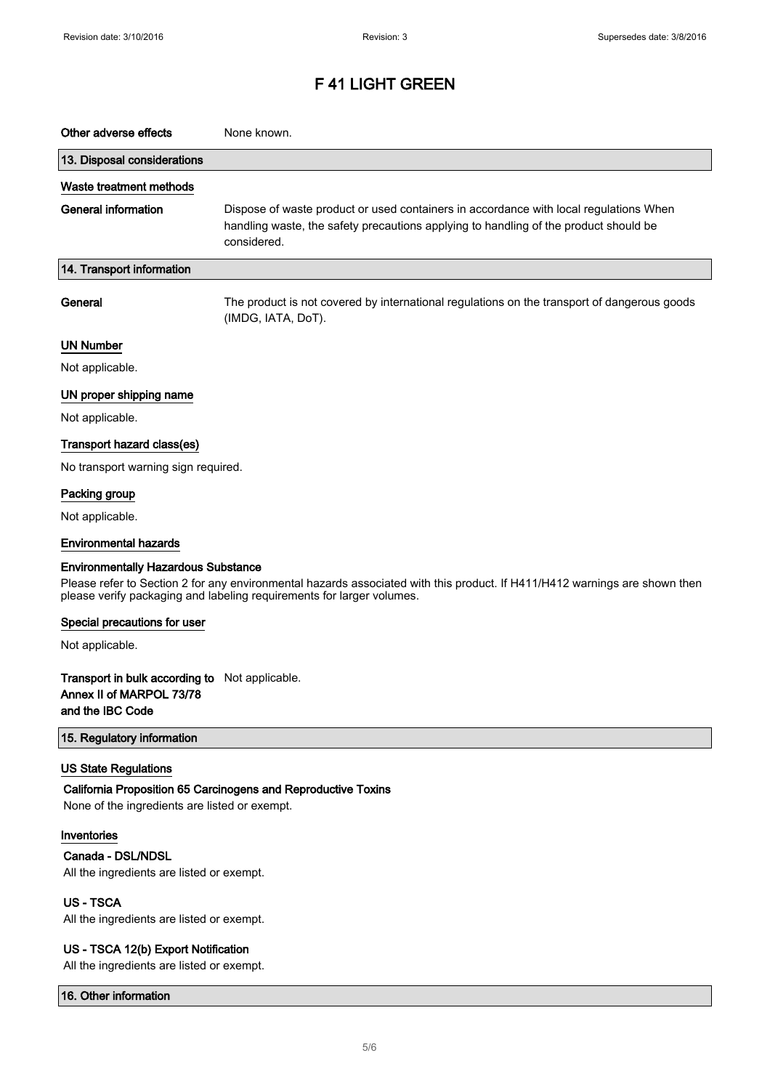| Other adverse effects                                                                                                                                                                                                                             | None known.                                                                                                                                                                                  |  |
|---------------------------------------------------------------------------------------------------------------------------------------------------------------------------------------------------------------------------------------------------|----------------------------------------------------------------------------------------------------------------------------------------------------------------------------------------------|--|
| 13. Disposal considerations                                                                                                                                                                                                                       |                                                                                                                                                                                              |  |
| Waste treatment methods                                                                                                                                                                                                                           |                                                                                                                                                                                              |  |
| <b>General information</b>                                                                                                                                                                                                                        | Dispose of waste product or used containers in accordance with local regulations When<br>handling waste, the safety precautions applying to handling of the product should be<br>considered. |  |
| 14. Transport information                                                                                                                                                                                                                         |                                                                                                                                                                                              |  |
| General                                                                                                                                                                                                                                           | The product is not covered by international regulations on the transport of dangerous goods<br>(IMDG, IATA, DoT).                                                                            |  |
| <b>UN Number</b>                                                                                                                                                                                                                                  |                                                                                                                                                                                              |  |
| Not applicable.                                                                                                                                                                                                                                   |                                                                                                                                                                                              |  |
| UN proper shipping name                                                                                                                                                                                                                           |                                                                                                                                                                                              |  |
| Not applicable.                                                                                                                                                                                                                                   |                                                                                                                                                                                              |  |
| Transport hazard class(es)                                                                                                                                                                                                                        |                                                                                                                                                                                              |  |
| No transport warning sign required.                                                                                                                                                                                                               |                                                                                                                                                                                              |  |
| Packing group                                                                                                                                                                                                                                     |                                                                                                                                                                                              |  |
| Not applicable.                                                                                                                                                                                                                                   |                                                                                                                                                                                              |  |
| <b>Environmental hazards</b>                                                                                                                                                                                                                      |                                                                                                                                                                                              |  |
| <b>Environmentally Hazardous Substance</b><br>Please refer to Section 2 for any environmental hazards associated with this product. If H411/H412 warnings are shown then<br>please verify packaging and labeling requirements for larger volumes. |                                                                                                                                                                                              |  |
| Special precautions for user                                                                                                                                                                                                                      |                                                                                                                                                                                              |  |
| Not applicable.                                                                                                                                                                                                                                   |                                                                                                                                                                                              |  |
| <b>Transport in bulk according to</b> Not applicable.<br>Annex II of MARPOL 73/78<br>and the IBC Code                                                                                                                                             |                                                                                                                                                                                              |  |
| 15. Regulatory information                                                                                                                                                                                                                        |                                                                                                                                                                                              |  |
| <b>US State Regulations</b><br>None of the ingredients are listed or exempt.                                                                                                                                                                      | California Proposition 65 Carcinogens and Reproductive Toxins                                                                                                                                |  |
| Inventories<br>Canada - DSL/NDSL<br>All the ingredients are listed or exempt.                                                                                                                                                                     |                                                                                                                                                                                              |  |
| <b>US-TSCA</b><br>All the ingredients are listed or exempt.                                                                                                                                                                                       |                                                                                                                                                                                              |  |
| US - TSCA 12(b) Export Notification<br>All the ingredients are listed or exempt.                                                                                                                                                                  |                                                                                                                                                                                              |  |

16. Other information